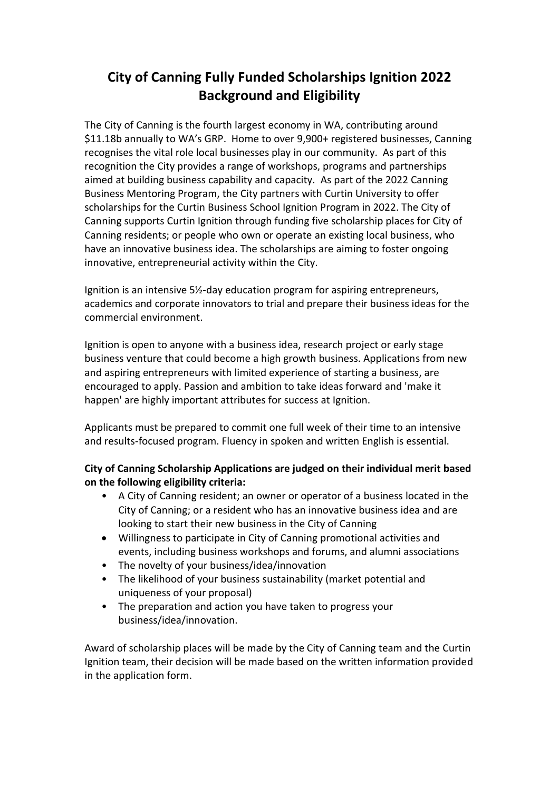## **City of Canning Fully Funded Scholarships Ignition 2022 Background and Eligibility**

The City of Canning is the fourth largest economy in WA, contributing around \$11.18b annually to WA's GRP. Home to over 9,900+ registered businesses, Canning recognises the vital role local businesses play in our community. As part of this recognition the City provides a range of workshops, programs and partnerships aimed at building business capability and capacity. As part of the 2022 Canning Business Mentoring Program, the City partners with Curtin University to offer scholarships for the Curtin Business School Ignition Program in 2022. The City of Canning supports Curtin Ignition through funding five scholarship places for City of Canning residents; or people who own or operate an existing local business, who have an innovative business idea. The scholarships are aiming to foster ongoing innovative, entrepreneurial activity within the City.

Ignition is an intensive 5½-day education program for aspiring entrepreneurs, academics and corporate innovators to trial and prepare their business ideas for the commercial environment.

Ignition is open to anyone with a business idea, research project or early stage business venture that could become a high growth business. Applications from new and aspiring entrepreneurs with limited experience of starting a business, are encouraged to apply. Passion and ambition to take ideas forward and 'make it happen' are highly important attributes for success at Ignition.

Applicants must be prepared to commit one full week of their time to an intensive and results-focused program. Fluency in spoken and written English is essential.

## **City of Canning Scholarship Applications are judged on their individual merit based on the following eligibility criteria:**

- A City of Canning resident; an owner or operator of a business located in the City of Canning; or a resident who has an innovative business idea and are looking to start their new business in the City of Canning
- Willingness to participate in City of Canning promotional activities and events, including business workshops and forums, and alumni associations
- The novelty of your business/idea/innovation
- The likelihood of your business sustainability (market potential and uniqueness of your proposal)
- The preparation and action you have taken to progress your business/idea/innovation.

Award of scholarship places will be made by the City of Canning team and the Curtin Ignition team, their decision will be made based on the written information provided in the application form.